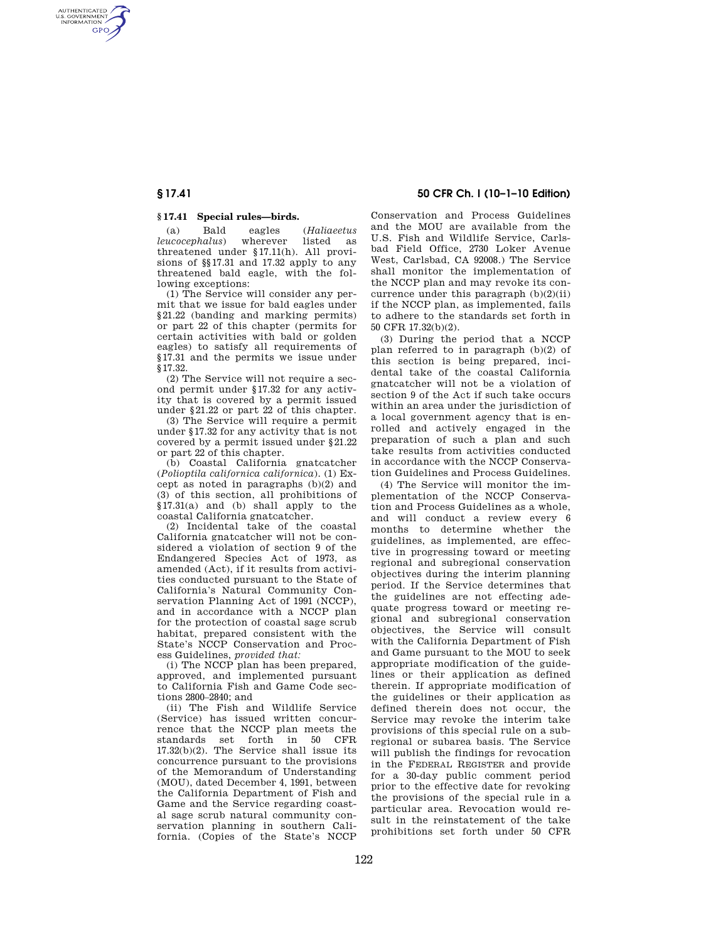AUTHENTICATED<br>U.S. GOVERNMENT<br>INFORMATION **GPO** 

## **§ 17.41 Special rules—birds.**

(a) Bald eagles (*Haliaeetus*   $leucocephalus$ threatened under §17.11(h). All provisions of §§17.31 and 17.32 apply to any threatened bald eagle, with the following exceptions:

(1) The Service will consider any permit that we issue for bald eagles under §21.22 (banding and marking permits) or part 22 of this chapter (permits for certain activities with bald or golden eagles) to satisfy all requirements of §17.31 and the permits we issue under §17.32.

(2) The Service will not require a second permit under §17.32 for any activity that is covered by a permit issued under §21.22 or part 22 of this chapter.

(3) The Service will require a permit under §17.32 for any activity that is not covered by a permit issued under §21.22 or part 22 of this chapter.

(b) Coastal California gnatcatcher (*Polioptila californica californica*). (1) Except as noted in paragraphs (b)(2) and (3) of this section, all prohibitions of §17.31(a) and (b) shall apply to the coastal California gnatcatcher.

(2) Incidental take of the coastal California gnatcatcher will not be considered a violation of section 9 of the Endangered Species Act of 1973, as amended (Act), if it results from activities conducted pursuant to the State of California's Natural Community Conservation Planning Act of 1991 (NCCP), and in accordance with a NCCP plan for the protection of coastal sage scrub habitat, prepared consistent with the State's NCCP Conservation and Process Guidelines, *provided that:* 

(i) The NCCP plan has been prepared, approved, and implemented pursuant to California Fish and Game Code sections 2800–2840; and

(ii) The Fish and Wildlife Service (Service) has issued written concurrence that the NCCP plan meets the standards set forth in 50 CFR 17.32(b)(2). The Service shall issue its concurrence pursuant to the provisions of the Memorandum of Understanding (MOU), dated December 4, 1991, between the California Department of Fish and Game and the Service regarding coastal sage scrub natural community conservation planning in southern California. (Copies of the State's NCCP

**§ 17.41 50 CFR Ch. I (10–1–10 Edition)** 

Conservation and Process Guidelines and the MOU are available from the U.S. Fish and Wildlife Service, Carlsbad Field Office, 2730 Loker Avenue West, Carlsbad, CA 92008.) The Service shall monitor the implementation of the NCCP plan and may revoke its concurrence under this paragraph (b)(2)(ii) if the NCCP plan, as implemented, fails to adhere to the standards set forth in 50 CFR 17.32(b)(2).

(3) During the period that a NCCP plan referred to in paragraph (b)(2) of this section is being prepared, incidental take of the coastal California gnatcatcher will not be a violation of section 9 of the Act if such take occurs within an area under the jurisdiction of a local government agency that is enrolled and actively engaged in the preparation of such a plan and such take results from activities conducted in accordance with the NCCP Conservation Guidelines and Process Guidelines.

(4) The Service will monitor the implementation of the NCCP Conservation and Process Guidelines as a whole, and will conduct a review every 6 months to determine whether the guidelines, as implemented, are effective in progressing toward or meeting regional and subregional conservation objectives during the interim planning period. If the Service determines that the guidelines are not effecting adequate progress toward or meeting regional and subregional conservation objectives, the Service will consult with the California Department of Fish and Game pursuant to the MOU to seek appropriate modification of the guidelines or their application as defined therein. If appropriate modification of the guidelines or their application as defined therein does not occur, the Service may revoke the interim take provisions of this special rule on a subregional or subarea basis. The Service will publish the findings for revocation in the FEDERAL REGISTER and provide for a 30-day public comment period prior to the effective date for revoking the provisions of the special rule in a particular area. Revocation would result in the reinstatement of the take prohibitions set forth under 50 CFR